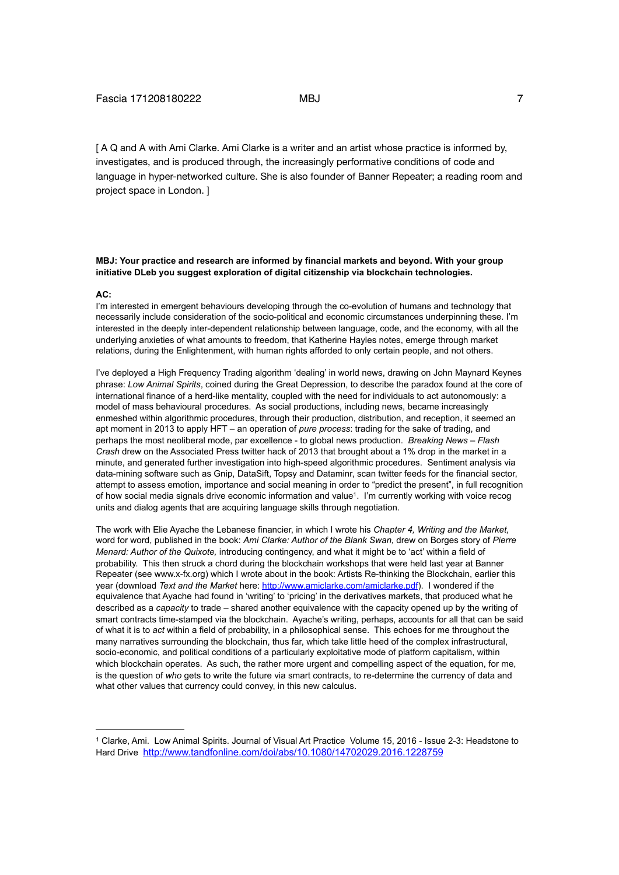[ A Q and A with Ami Clarke. Ami Clarke is a writer and an artist whose practice is informed by, investigates, and is produced through, the increasingly performative conditions of code and language in hyper-networked culture. She is also founder of Banner Repeater; a reading room and project space in London. ]

## **MBJ: Your practice and research are informed by financial markets and beyond. With your group initiative DLeb you suggest exploration of digital citizenship via blockchain technologies.**

### **AC:**

I'm interested in emergent behaviours developing through the co-evolution of humans and technology that necessarily include consideration of the socio-political and economic circumstances underpinning these. I'm interested in the deeply inter-dependent relationship between language, code, and the economy, with all the underlying anxieties of what amounts to freedom, that Katherine Hayles notes, emerge through market relations, during the Enlightenment, with human rights afforded to only certain people, and not others.

I've deployed a High Frequency Trading algorithm 'dealing' in world news, drawing on John Maynard Keynes phrase: *Low Animal Spirits*, coined during the Great Depression, to describe the paradox found at the core of international finance of a herd-like mentality, coupled with the need for individuals to act autonomously: a model of mass behavioural procedures. As social productions, including news, became increasingly enmeshed within algorithmic procedures, through their production, distribution, and reception, it seemed an apt moment in 2013 to apply HFT – an operation of *pure process*: trading for the sake of trading, and perhaps the most neoliberal mode, par excellence - to global news production. *Breaking News – Flash Crash* drew on the Associated Press twitter hack of 2013 that brought about a 1% drop in the market in a minute, and generated further investigation into high-speed algorithmic procedures. Sentiment analysis via data-mining software such as Gnip, DataSift, Topsy and Dataminr, scan twitter feeds for the financial sector, attempt to assess emotion, importance and social meaning in order to "predict the present", in full recognition of how social media signals drive economic information and value<sup>1</sup>. I'm currently working with voice recog units and dialog agents that are acquiring language skills through negotiation.

The work with Elie Ayache the Lebanese financier, in which I wrote his *Chapter 4, Writing and the Market,*  word for word, published in the book: *Ami Clarke: Author of the Blank Swan,* drew on Borges story of *Pierre Menard: Author of the Quixote,* introducing contingency, and what it might be to 'act' within a field of probability. This then struck a chord during the blockchain workshops that were held last year at Banner Repeater (see www.x-fx.org) which I wrote about in the book: Artists Re-thinking the Blockchain, earlier this year (download *Text and the Market* here: http://www.amiclarke.com/amiclarke.pdf). I wondered if the equivalence that Ayache had found in 'writing' to 'pricing' in the derivatives markets, that produced what he described as a *capacity* to trade – shared another equivalence with the capacity opened up by the writing of smart contracts time-stamped via the blockchain. Ayache's writing, perhaps, accounts for all that can be said of what it is to *act* within a field of probability, in a philosophical sense. This echoes for me throughout the many narratives surrounding the blockchain, thus far, which take little heed of the complex infrastructural, socio-economic, and political conditions of a particularly exploitative mode of platform capitalism, within which blockchain operates. As such, the rather more urgent and compelling aspect of the equation, for me, is the question of *who* gets to write the future via smart contracts, to re-determine the currency of data and what other values that currency could convey, in this new calculus.

Clarke, Ami. Low Animal Spirits. Journal of Visual Art Practice Volume 15, 2016 - Issue 2-3: Headstone to 1 Hard Drive http://www.tandfonline.com/doi/abs/10.1080/14702029.2016.1228759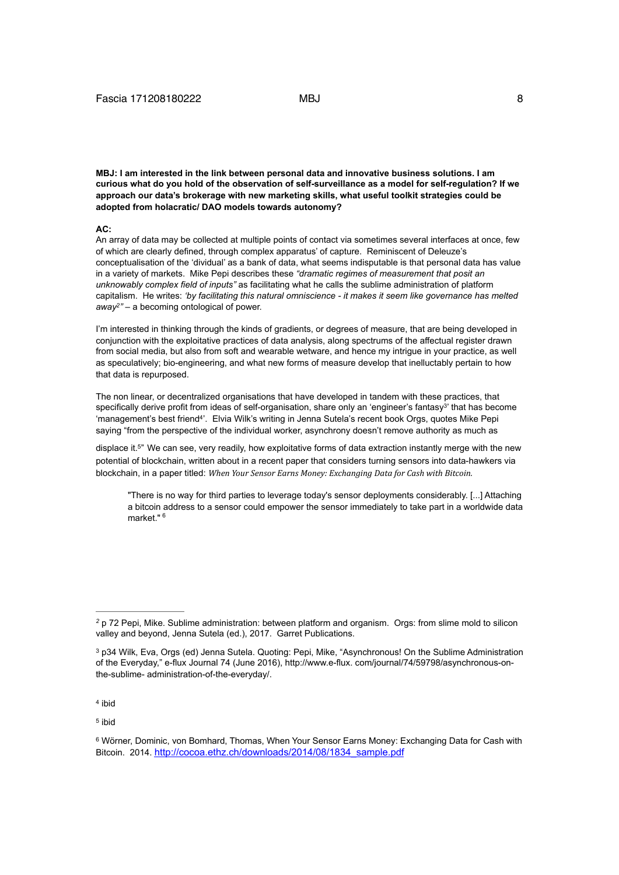**MBJ: I am interested in the link between personal data and innovative business solutions. I am curious what do you hold of the observation of self-surveillance as a model for self-regulation? If we approach our data's brokerage with new marketing skills, what useful toolkit strategies could be adopted from holacratic/ DAO models towards autonomy?** 

#### **AC:**

An array of data may be collected at multiple points of contact via sometimes several interfaces at once, few of which are clearly defined, through complex apparatus' of capture. Reminiscent of Deleuze's conceptualisation of the 'dividual' as a bank of data, what seems indisputable is that personal data has value in a variety of markets. Mike Pepi describes these *"dramatic regimes of measurement that posit an unknowably complex field of inputs"* as facilitating what he calls the sublime administration of platform capitalism. He writes: *'by facilitating this natural omniscience - it makes it seem like governance has melted away*<sup>2</sup>" – a becoming ontological of power.

I'm interested in thinking through the kinds of gradients, or degrees of measure, that are being developed in conjunction with the exploitative practices of data analysis, along spectrums of the affectual register drawn from social media, but also from soft and wearable wetware, and hence my intrigue in your practice, as well as speculatively; bio-engineering, and what new forms of measure develop that inelluctably pertain to how that data is repurposed.

The non linear, or decentralized organisations that have developed in tandem with these practices, that specifically derive profit from ideas of self-organisation, share only an 'engineer's fantasy<sup>3</sup>' that has become 'management's best friend<sup>4'</sup>. Elvia Wilk's writing in Jenna Sutela's recent book Orgs, quotes Mike Pepi saying "from the perspective of the individual worker, asynchrony doesn't remove authority as much as

displace it.<sup>5</sup>" We can see, very readily, how exploitative forms of data extraction instantly merge with the new potential of blockchain, written about in a recent paper that considers turning sensors into data-hawkers via blockchain, in a paper titled: *When Your Sensor Earns Money: Exchanging Data for Cash with Bitcoin.* 

"There is no way for third parties to leverage today's sensor deployments considerably. [...] Attaching a bitcoin address to a sensor could empower the sensor immediately to take part in a worldwide data market."  $6$ 

 $4$  ibid

<sup>5</sup> ibid

p 72 Pepi, Mike. Sublime administration: between platform and organism. Orgs: from slime mold to silicon *<sup>2</sup>* valley and beyond, Jenna Sutela (ed.), 2017. Garret Publications.

<sup>&</sup>lt;sup>3</sup> p34 Wilk, Eva, Orgs (ed) Jenna Sutela. Quoting: Pepi, Mike, "Asynchronous! On the Sublime Administration of the Everyday," e-flux Journal 74 (June 2016), http://www.e-flux. com/journal/74/59798/asynchronous-onthe-sublime- administration-of-the-everyday/.

Wörner, Dominic, von Bomhard, Thomas, When Your Sensor Earns Money: Exchanging Data for Cash with 6 Bitcoin. 2014. http://cocoa.ethz.ch/downloads/2014/08/1834\_sample.pdf